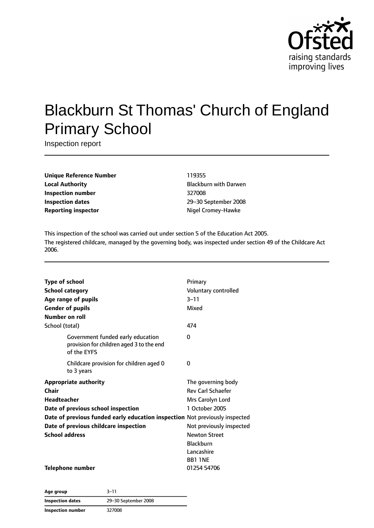

# Blackburn St Thomas' Church of England Primary School

Inspection report

**Unique Reference Number** 119355 **Local Authority Blackburn with Darwen Inspection number** 327008 **Inspection dates** 29–30 September 2008 **Reporting inspector and Cromey-Hawke Nigel Cromey-Hawke** 

This inspection of the school was carried out under section 5 of the Education Act 2005. The registered childcare, managed by the governing body, was inspected under section 49 of the Childcare Act 2006.

| <b>Type of school</b>  |                                                                                              | Primary                  |
|------------------------|----------------------------------------------------------------------------------------------|--------------------------|
| <b>School category</b> |                                                                                              | Voluntary controlled     |
|                        | Age range of pupils                                                                          | $3 - 11$                 |
|                        | <b>Gender of pupils</b>                                                                      | Mixed                    |
| Number on roll         |                                                                                              |                          |
| School (total)         |                                                                                              | 474                      |
|                        | Government funded early education<br>provision for children aged 3 to the end<br>of the EYFS | 0                        |
|                        | Childcare provision for children aged 0<br>to 3 years                                        | 0                        |
|                        | <b>Appropriate authority</b>                                                                 | The governing body       |
| Chair                  |                                                                                              | <b>Rev Carl Schaefer</b> |
| Headteacher            |                                                                                              | Mrs Carolyn Lord         |
|                        | Date of previous school inspection                                                           | 1 October 2005           |
|                        | Date of previous funded early education inspection Not previously inspected                  |                          |
|                        | Date of previous childcare inspection                                                        | Not previously inspected |
| <b>School address</b>  |                                                                                              | <b>Newton Street</b>     |
|                        |                                                                                              | <b>Blackburn</b>         |
|                        |                                                                                              | Lancashire               |
|                        |                                                                                              | <b>BB1 1NE</b>           |
|                        | <b>Telephone number</b>                                                                      | 01254 54706              |

**Age group** 3–11 **Inspection dates** 29–30 September 2008 **Inspection number** 327008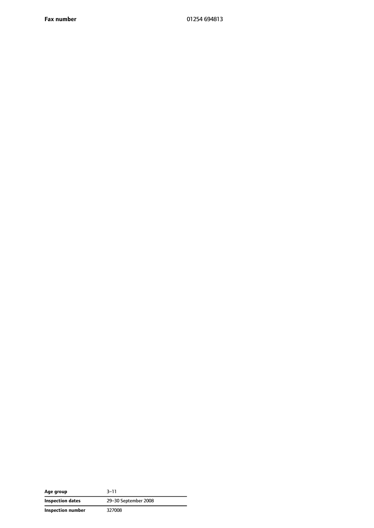**Fax number** 01254 694813

| Age group         | 3–11                 |
|-------------------|----------------------|
| Inspection dates  | 29-30 September 2008 |
| Inspection number | 327008               |

 $\overline{\phantom{a}}$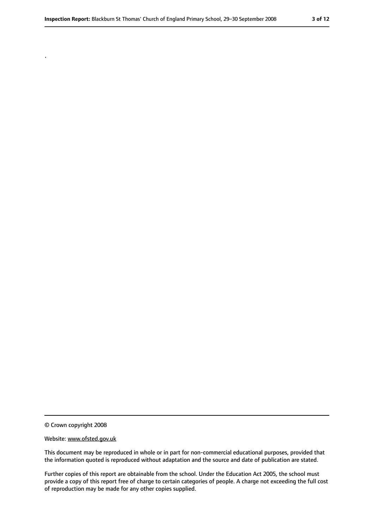© Crown copyright 2008

.

#### Website: www.ofsted.gov.uk

This document may be reproduced in whole or in part for non-commercial educational purposes, provided that the information quoted is reproduced without adaptation and the source and date of publication are stated.

Further copies of this report are obtainable from the school. Under the Education Act 2005, the school must provide a copy of this report free of charge to certain categories of people. A charge not exceeding the full cost of reproduction may be made for any other copies supplied.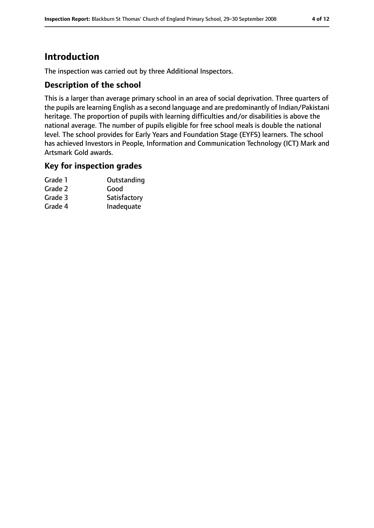### **Introduction**

The inspection was carried out by three Additional Inspectors.

### **Description of the school**

This is a larger than average primary school in an area of social deprivation. Three quarters of the pupils are learning English as a second language and are predominantly of Indian/Pakistani heritage. The proportion of pupils with learning difficulties and/or disabilities is above the national average. The number of pupils eligible for free school meals is double the national level. The school provides for Early Years and Foundation Stage (EYFS) learners. The school has achieved Investors in People, Information and Communication Technology (ICT) Mark and Artsmark Gold awards.

#### **Key for inspection grades**

| Grade 1 | Outstanding  |
|---------|--------------|
| Grade 2 | Good         |
| Grade 3 | Satisfactory |
| Grade 4 | Inadequate   |
|         |              |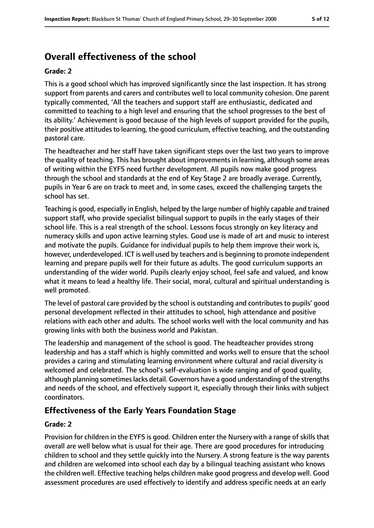### **Overall effectiveness of the school**

#### **Grade: 2**

This is a good school which has improved significantly since the last inspection. It has strong support from parents and carers and contributes well to local community cohesion. One parent typically commented, 'All the teachers and support staff are enthusiastic, dedicated and committed to teaching to a high level and ensuring that the school progresses to the best of its ability.' Achievement is good because of the high levels of support provided for the pupils, their positive attitudes to learning, the good curriculum, effective teaching, and the outstanding pastoral care.

The headteacher and her staff have taken significant steps over the last two years to improve the quality of teaching. This has brought about improvements in learning, although some areas of writing within the EYFS need further development. All pupils now make good progress through the school and standards at the end of Key Stage 2 are broadly average. Currently, pupils in Year 6 are on track to meet and, in some cases, exceed the challenging targets the school has set.

Teaching is good, especially in English, helped by the large number of highly capable and trained support staff, who provide specialist bilingual support to pupils in the early stages of their school life. This is a real strength of the school. Lessons focus strongly on key literacy and numeracy skills and upon active learning styles. Good use is made of art and music to interest and motivate the pupils. Guidance for individual pupils to help them improve their work is, however, underdeveloped. ICT is well used by teachers and is beginning to promote independent learning and prepare pupils well for their future as adults. The good curriculum supports an understanding of the wider world. Pupils clearly enjoy school, feel safe and valued, and know what it means to lead a healthy life. Their social, moral, cultural and spiritual understanding is well promoted.

The level of pastoral care provided by the school is outstanding and contributes to pupils' good personal development reflected in their attitudes to school, high attendance and positive relations with each other and adults. The school works well with the local community and has growing links with both the business world and Pakistan.

The leadership and management of the school is good. The headteacher provides strong leadership and has a staff which is highly committed and works well to ensure that the school provides a caring and stimulating learning environment where cultural and racial diversity is welcomed and celebrated. The school's self-evaluation is wide ranging and of good quality, although planning sometimes lacks detail. Governors have a good understanding of the strengths and needs of the school, and effectively support it, especially through their links with subject coordinators.

### **Effectiveness of the Early Years Foundation Stage**

#### **Grade: 2**

Provision for children in the EYFS is good. Children enter the Nursery with a range of skills that overall are well below what is usual for their age. There are good procedures for introducing children to school and they settle quickly into the Nursery. A strong feature is the way parents and children are welcomed into school each day by a bilingual teaching assistant who knows the children well. Effective teaching helps children make good progress and develop well. Good assessment procedures are used effectively to identify and address specific needs at an early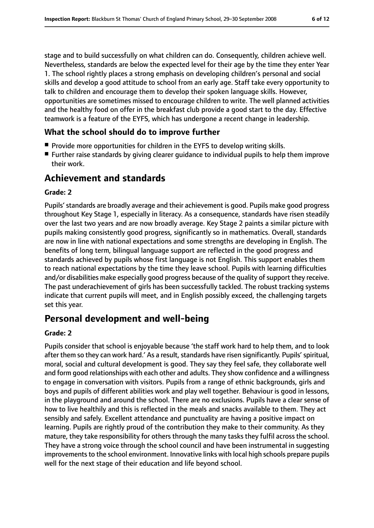stage and to build successfully on what children can do. Consequently, children achieve well. Nevertheless, standards are below the expected level for their age by the time they enter Year 1. The school rightly places a strong emphasis on developing children's personal and social skills and develop a good attitude to school from an early age. Staff take every opportunity to talk to children and encourage them to develop their spoken language skills. However, opportunities are sometimes missed to encourage children to write. The well planned activities and the healthy food on offer in the breakfast club provide a good start to the day. Effective teamwork is a feature of the EYFS, which has undergone a recent change in leadership.

### **What the school should do to improve further**

- Provide more opportunities for children in the EYFS to develop writing skills.
- Further raise standards by giving clearer guidance to individual pupils to help them improve their work.

### **Achievement and standards**

#### **Grade: 2**

Pupils'standards are broadly average and their achievement is good. Pupils make good progress throughout Key Stage 1, especially in literacy. As a consequence, standards have risen steadily over the last two years and are now broadly average. Key Stage 2 paints a similar picture with pupils making consistently good progress, significantly so in mathematics. Overall, standards are now in line with national expectations and some strengths are developing in English. The benefits of long term, bilingual language support are reflected in the good progress and standards achieved by pupils whose first language is not English. This support enables them to reach national expectations by the time they leave school. Pupils with learning difficulties and/or disabilities make especially good progress because of the quality of support they receive. The past underachievement of girls has been successfully tackled. The robust tracking systems indicate that current pupils will meet, and in English possibly exceed, the challenging targets set this year.

### **Personal development and well-being**

#### **Grade: 2**

Pupils consider that school is enjoyable because 'the staff work hard to help them, and to look after them so they can work hard.' As a result, standards have risen significantly. Pupils' spiritual, moral, social and cultural development is good. They say they feel safe, they collaborate well and form good relationships with each other and adults. They show confidence and a willingness to engage in conversation with visitors. Pupils from a range of ethnic backgrounds, girls and boys and pupils of different abilities work and play well together. Behaviour is good in lessons, in the playground and around the school. There are no exclusions. Pupils have a clear sense of how to live healthily and this is reflected in the meals and snacks available to them. They act sensibly and safely. Excellent attendance and punctuality are having a positive impact on learning. Pupils are rightly proud of the contribution they make to their community. As they mature, they take responsibility for others through the many tasks they fulfil across the school. They have a strong voice through the school council and have been instrumental in suggesting improvements to the school environment. Innovative links with local high schools prepare pupils well for the next stage of their education and life beyond school.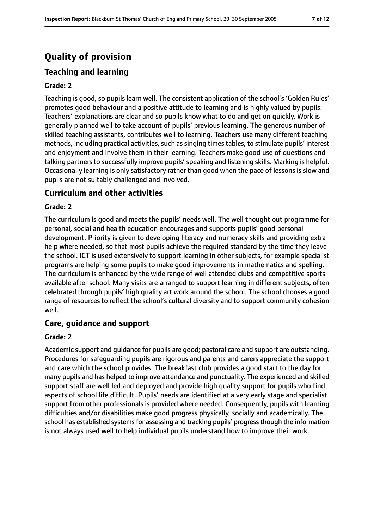### **Quality of provision**

### **Teaching and learning**

#### **Grade: 2**

Teaching is good, so pupils learn well. The consistent application of the school's 'Golden Rules' promotes good behaviour and a positive attitude to learning and is highly valued by pupils. Teachers' explanations are clear and so pupils know what to do and get on quickly. Work is generally planned well to take account of pupils' previous learning. The generous number of skilled teaching assistants, contributes well to learning. Teachers use many different teaching methods, including practical activities, such as singing times tables, to stimulate pupils' interest and enjoyment and involve them in their learning. Teachers make good use of questions and talking partnersto successfully improve pupils'speaking and listening skills. Marking is helpful. Occasionally learning is only satisfactory rather than good when the pace of lessons is slow and pupils are not suitably challenged and involved.

### **Curriculum and other activities**

#### **Grade: 2**

The curriculum is good and meets the pupils' needs well. The well thought out programme for personal, social and health education encourages and supports pupils' good personal development. Priority is given to developing literacy and numeracy skills and providing extra help where needed, so that most pupils achieve the required standard by the time they leave the school. ICT is used extensively to support learning in other subjects, for example specialist programs are helping some pupils to make good improvements in mathematics and spelling. The curriculum is enhanced by the wide range of well attended clubs and competitive sports available after school. Many visits are arranged to support learning in different subjects, often celebrated through pupils' high quality art work around the school. The school chooses a good range of resources to reflect the school's cultural diversity and to support community cohesion well.

### **Care, guidance and support**

#### **Grade: 2**

Academic support and guidance for pupils are good; pastoral care and support are outstanding. Procedures for safeguarding pupils are rigorous and parents and carers appreciate the support and care which the school provides. The breakfast club provides a good start to the day for many pupils and has helped to improve attendance and punctuality. The experienced and skilled support staff are well led and deployed and provide high quality support for pupils who find aspects of school life difficult. Pupils' needs are identified at a very early stage and specialist support from other professionals is provided where needed. Consequently, pupils with learning difficulties and/or disabilities make good progress physically, socially and academically. The school has established systems for assessing and tracking pupils' progress though the information is not always used well to help individual pupils understand how to improve their work.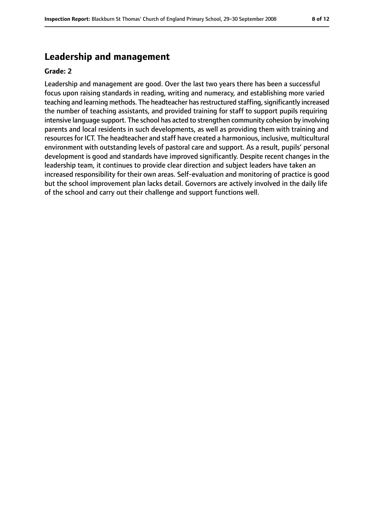### **Leadership and management**

#### **Grade: 2**

Leadership and management are good. Over the last two years there has been a successful focus upon raising standards in reading, writing and numeracy, and establishing more varied teaching and learning methods. The headteacher has restructured staffing, significantly increased the number of teaching assistants, and provided training for staff to support pupils requiring intensive language support. The school has acted to strengthen community cohesion by involving parents and local residents in such developments, as well as providing them with training and resources for ICT. The headteacher and staff have created a harmonious, inclusive, multicultural environment with outstanding levels of pastoral care and support. As a result, pupils' personal development is good and standards have improved significantly. Despite recent changes in the leadership team, it continues to provide clear direction and subject leaders have taken an increased responsibility for their own areas. Self-evaluation and monitoring of practice is good but the school improvement plan lacks detail. Governors are actively involved in the daily life of the school and carry out their challenge and support functions well.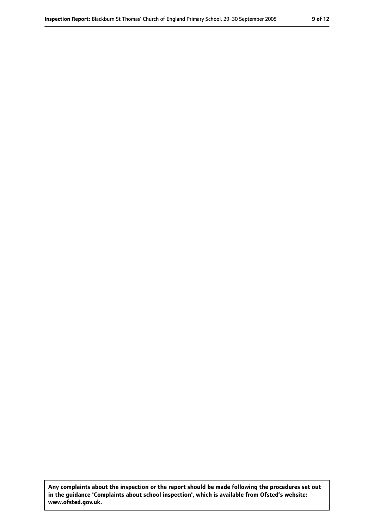**Any complaints about the inspection or the report should be made following the procedures set out in the guidance 'Complaints about school inspection', which is available from Ofsted's website: www.ofsted.gov.uk.**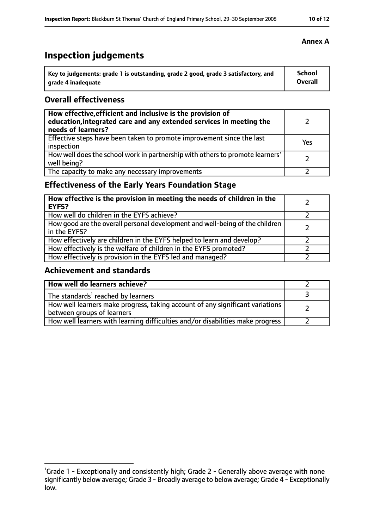## **Inspection judgements**

| $^{\backprime}$ Key to judgements: grade 1 is outstanding, grade 2 good, grade 3 satisfactory, and | <b>School</b>  |
|----------------------------------------------------------------------------------------------------|----------------|
| arade 4 inadequate                                                                                 | <b>Overall</b> |

### **Overall effectiveness**

| How effective, efficient and inclusive is the provision of<br>education, integrated care and any extended services in meeting the<br>needs of learners? |     |
|---------------------------------------------------------------------------------------------------------------------------------------------------------|-----|
| Effective steps have been taken to promote improvement since the last<br>inspection                                                                     | Yes |
| How well does the school work in partnership with others to promote learners'<br>well being?                                                            |     |
| The capacity to make any necessary improvements                                                                                                         |     |

### **Effectiveness of the Early Years Foundation Stage**

| How effective is the provision in meeting the needs of children in the<br><b>EYFS?</b>       |  |
|----------------------------------------------------------------------------------------------|--|
| How well do children in the EYFS achieve?                                                    |  |
| How good are the overall personal development and well-being of the children<br>in the EYFS? |  |
| How effectively are children in the EYFS helped to learn and develop?                        |  |
| How effectively is the welfare of children in the EYFS promoted?                             |  |
| How effectively is provision in the EYFS led and managed?                                    |  |

### **Achievement and standards**

| How well do learners achieve?                                                                               |  |
|-------------------------------------------------------------------------------------------------------------|--|
| The standards <sup>1</sup> reached by learners                                                              |  |
| How well learners make progress, taking account of any significant variations<br>between groups of learners |  |
| How well learners with learning difficulties and/or disabilities make progress                              |  |

#### **Annex A**

<sup>&</sup>lt;sup>1</sup>Grade 1 - Exceptionally and consistently high; Grade 2 - Generally above average with none significantly below average; Grade 3 - Broadly average to below average; Grade 4 - Exceptionally low.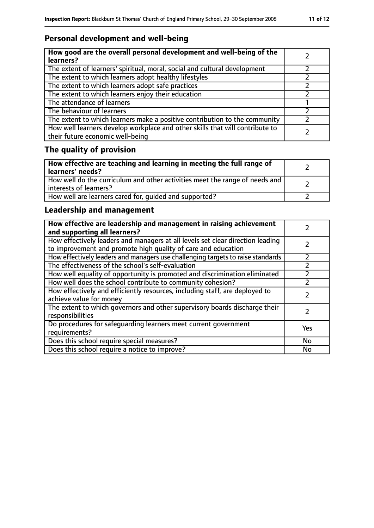### **Personal development and well-being**

| How good are the overall personal development and well-being of the<br>learners?                                 |  |
|------------------------------------------------------------------------------------------------------------------|--|
| The extent of learners' spiritual, moral, social and cultural development                                        |  |
| The extent to which learners adopt healthy lifestyles                                                            |  |
| The extent to which learners adopt safe practices                                                                |  |
| The extent to which learners enjoy their education                                                               |  |
| The attendance of learners                                                                                       |  |
| The behaviour of learners                                                                                        |  |
| The extent to which learners make a positive contribution to the community                                       |  |
| How well learners develop workplace and other skills that will contribute to<br>their future economic well-being |  |

### **The quality of provision**

| How effective are teaching and learning in meeting the full range of<br>learners' needs?              |  |
|-------------------------------------------------------------------------------------------------------|--|
| How well do the curriculum and other activities meet the range of needs and<br>interests of learners? |  |
| How well are learners cared for, quided and supported?                                                |  |

### **Leadership and management**

| How effective are leadership and management in raising achievement<br>and supporting all learners?                                              |     |
|-------------------------------------------------------------------------------------------------------------------------------------------------|-----|
| How effectively leaders and managers at all levels set clear direction leading<br>to improvement and promote high quality of care and education |     |
| How effectively leaders and managers use challenging targets to raise standards                                                                 |     |
| The effectiveness of the school's self-evaluation                                                                                               |     |
| How well equality of opportunity is promoted and discrimination eliminated                                                                      |     |
| How well does the school contribute to community cohesion?                                                                                      |     |
| How effectively and efficiently resources, including staff, are deployed to<br>achieve value for money                                          |     |
| The extent to which governors and other supervisory boards discharge their<br>responsibilities                                                  |     |
| Do procedures for safequarding learners meet current government<br>requirements?                                                                | Yes |
| Does this school require special measures?                                                                                                      | No  |
| Does this school require a notice to improve?                                                                                                   | No  |